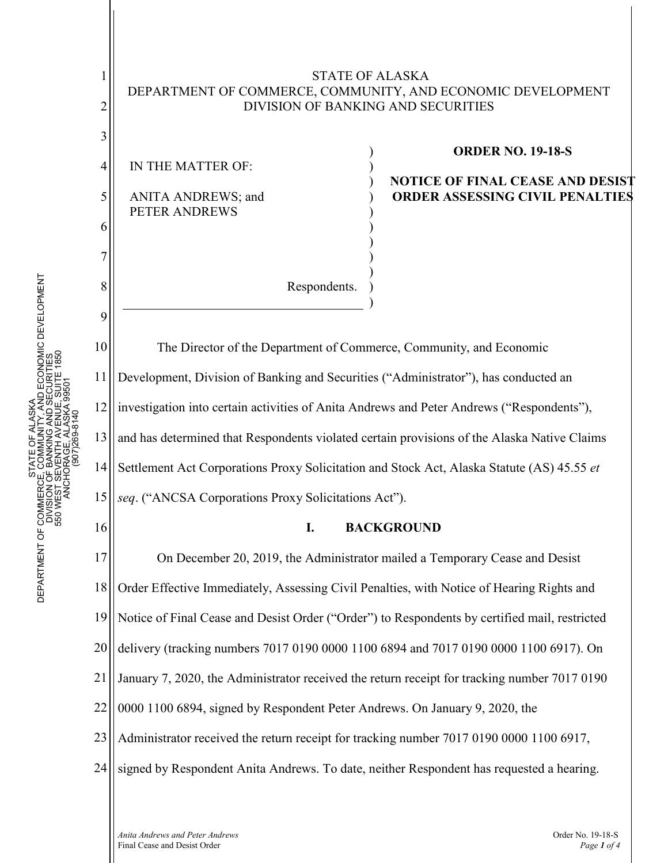1 2 3 4 5 6 7 8 STATE OF ALASKA DEPARTMENT OF COMMERCE, COMMUNITY, AND ECONOMIC DEVELOPMENT DIVISION OF BANKING AND SECURITIES IN THE MATTER OF: ANITA ANDREWS; and PETER ANDREWS Respondents. ) ) ) ) ) ) ) ) ) ) **ORDER NO. 19-18-S NOTICE OF FINAL CEASE AND DESIST ORDER ASSESSING CIVIL PENALTIES** 

The Director of the Department of Commerce, Community, and Economic Development, Division of Banking and Securities ("Administrator"), has conducted an investigation into certain activities of Anita Andrews and Peter Andrews ("Respondents"), and has determined that Respondents violated certain provisions of the Alaska Native Claims Settlement Act Corporations Proxy Solicitation and Stock Act, Alaska Statute (AS) 45.55 *et seq*. ("ANCSA Corporations Proxy Solicitations Act").

)

## **I. BACKGROUND**

17 18 19 20 21 22 23 24 On December 20, 2019, the Administrator mailed a Temporary Cease and Desist Order Effective Immediately, Assessing Civil Penalties, with Notice of Hearing Rights and Notice of Final Cease and Desist Order ("Order") to Respondents by certified mail, restricted delivery (tracking numbers 7017 0190 0000 1100 6894 and 7017 0190 0000 1100 6917). On January 7, 2020, the Administrator received the return receipt for tracking number 7017 0190 0000 1100 6894, signed by Respondent Peter Andrews. On January 9, 2020, the Administrator received the return receipt for tracking number 7017 0190 0000 1100 6917, signed by Respondent Anita Andrews. To date, neither Respondent has requested a hearing.

9

10

11

12

13

14

15

16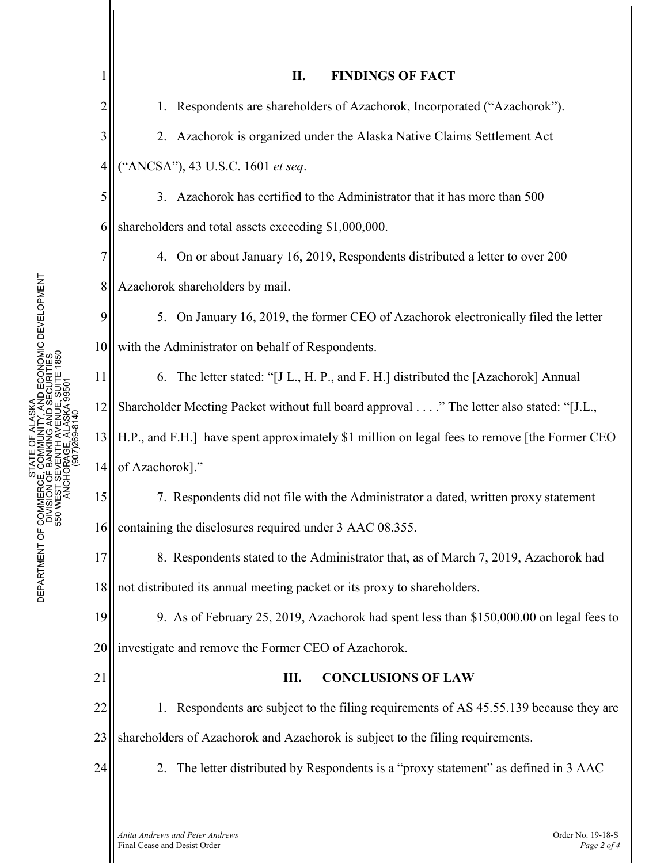|                | <b>FINDINGS OF FACT</b><br>II.                                                               |
|----------------|----------------------------------------------------------------------------------------------|
| $\overline{c}$ | Respondents are shareholders of Azachorok, Incorporated ("Azachorok").<br>1.                 |
| 3              | Azachorok is organized under the Alaska Native Claims Settlement Act<br>2.                   |
| 4              | ("ANCSA"), 43 U.S.C. 1601 et seq.                                                            |
| 5              | 3. Azachorok has certified to the Administrator that it has more than 500                    |
| 6              | shareholders and total assets exceeding \$1,000,000.                                         |
| 7              | 4. On or about January 16, 2019, Respondents distributed a letter to over 200                |
| 8              | Azachorok shareholders by mail.                                                              |
| 9              | 5. On January 16, 2019, the former CEO of Azachorok electronically filed the letter          |
| 10             | with the Administrator on behalf of Respondents.                                             |
| 11             | 6. The letter stated: "[J L., H. P., and F. H.] distributed the [Azachorok] Annual           |
| 12             | Shareholder Meeting Packet without full board approval" The letter also stated: "[J.L.,      |
| 13             | H.P., and F.H.] have spent approximately \$1 million on legal fees to remove [the Former CEO |
| 14             | of Azachorok]."                                                                              |
| 15             | 7. Respondents did not file with the Administrator a dated, written proxy statement          |
| 16             | containing the disclosures required under 3 AAC 08.355.                                      |
| 17             | 8. Respondents stated to the Administrator that, as of March 7, 2019, Azachorok had          |
| 18             | not distributed its annual meeting packet or its proxy to shareholders.                      |
| 19             | 9. As of February 25, 2019, Azachorok had spent less than \$150,000.00 on legal fees to      |
| 20             | investigate and remove the Former CEO of Azachorok.                                          |
| 21             | <b>CONCLUSIONS OF LAW</b><br>Ш.                                                              |
| 22             | 1. Respondents are subject to the filing requirements of AS 45.55.139 because they are       |
| 23             | shareholders of Azachorok and Azachorok is subject to the filing requirements.               |
| 24             | 2. The letter distributed by Respondents is a "proxy statement" as defined in 3 AAC          |
|                |                                                                                              |
|                | Anita Andrews and Peter Andrews<br>Order No. 19-18-S                                         |

Ш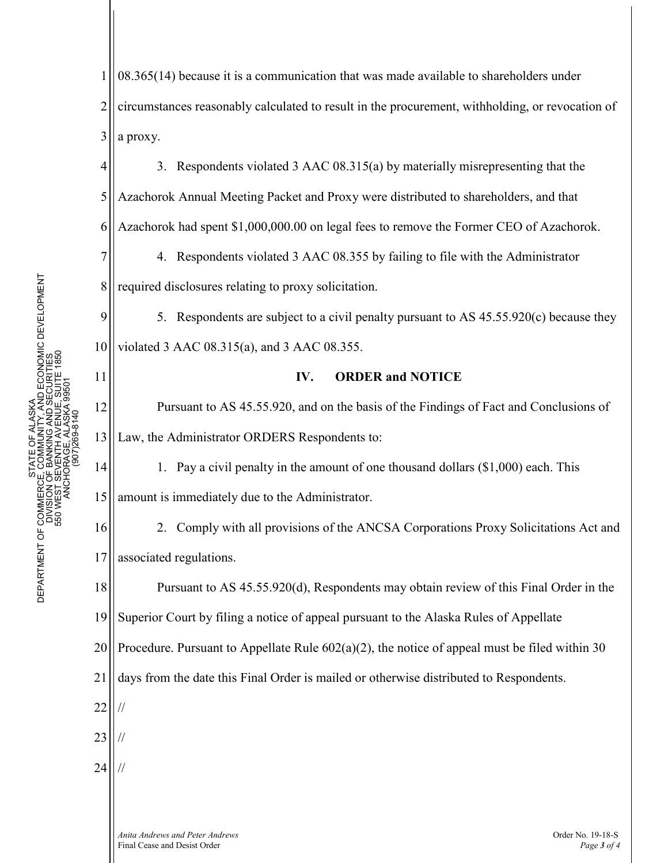1 2 3 4 5 6 7 8 9 10 11 12 13 14 15 16 17 18 19 20 21 22 23 24 08.365(14) because it is a communication that was made available to shareholders under circumstances reasonably calculated to result in the procurement, withholding, or revocation of a proxy. 3. Respondents violated 3 AAC 08.315(a) by materially misrepresenting that the Azachorok Annual Meeting Packet and Proxy were distributed to shareholders, and that Azachorok had spent \$1,000,000.00 on legal fees to remove the Former CEO of Azachorok. 4. Respondents violated 3 AAC 08.355 by failing to file with the Administrator required disclosures relating to proxy solicitation. 5. Respondents are subject to a civil penalty pursuant to AS 45.55.920(c) because they violated 3 AAC 08.315(a), and 3 AAC 08.355. **IV. ORDER and NOTICE** Pursuant to AS 45.55.920, and on the basis of the Findings of Fact and Conclusions of Law, the Administrator ORDERS Respondents to: 1. Pay a civil penalty in the amount of one thousand dollars (\$1,000) each. This amount is immediately due to the Administrator. 2. Comply with all provisions of the ANCSA Corporations Proxy Solicitations Act and associated regulations. Pursuant to AS 45.55.920(d), Respondents may obtain review of this Final Order in the Superior Court by filing a notice of appeal pursuant to the Alaska Rules of Appellate Procedure. Pursuant to Appellate Rule  $602(a)(2)$ , the notice of appeal must be filed within 30 days from the date this Final Order is mailed or otherwise distributed to Respondents. // // //